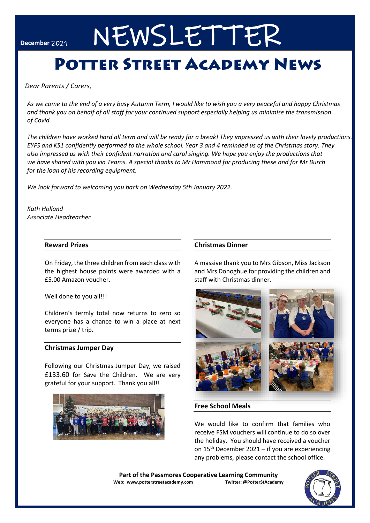# December 2021 NEWSLETTER

## **POTTER STREET ACADEMY NEWS**

*Dear Parents / Carers,* 

*As we come to the end of a very busy Autumn Term, I would like to wish you a very peaceful and happy Christmas and thank you on behalf of all staff for your continued support especially helping us minimise the transmission of Covid.*

*The children have worked hard all term and will be ready for a break! They impressed us with their lovely productions. EYFS and KS1 confidently performed to the whole school. Year 3 and 4 reminded us of the Christmas story. They also impressed us with their confident narration and carol singing. We hope you enjoy the productions that we have shared with you via Teams. A special thanks to Mr Hammond for producing these and for Mr Burch for the loan of his recording equipment.*

*We look forward to welcoming you back on Wednesday 5th January 2022.*

*Kath Holland Associate Headteacher*

#### **Reward Prizes**

On Friday, the three children from each class with the highest house points were awarded with a £5.00 Amazon voucher.

Well done to you all!!!

Children's termly total now returns to zero so everyone has a chance to win a place at next terms prize / trip.

#### **Christmas Jumper Day**

Following our Christmas Jumper Day, we raised £133.60 for Save the Children. We are very grateful for your support. Thank you all!!



#### **Christmas Dinner**

A massive thank you to Mrs Gibson, Miss Jackson and Mrs Donoghue for providing the children and staff with Christmas dinner.



#### **Free School Meals**

We would like to confirm that families who receive FSM vouchers will continue to do so over the holiday. You should have received a voucher on  $15<sup>th</sup>$  December 2021 – if you are experiencing any problems, please contact the school office.

**Part of the Passmores Cooperative Learning Community Web: www.potterstreetacademy.com Twitter: @PotterStAcademy**

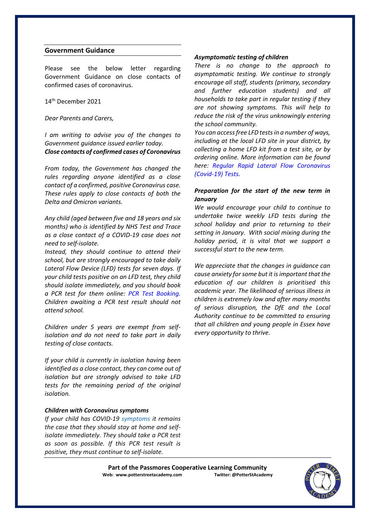#### **Government Guidance**

Please see the below letter regarding Government Guidance on close contacts of confirmed cases of coronavirus.

14th December 2021

#### *Dear Parents and Carers,*

*I am writing to advise you of the changes to Government guidance issued earlier today. Close contacts of confirmed cases of Coronavirus* 

*From today, the Government has changed the rules regarding anyone identified as a close contact of a confirmed, positive Coronavirus case. These rules apply to close contacts of both the Delta and Omicron variants.* 

*Any child (aged between five and 18 years and six months) who is identified by NHS Test and Trace as a close contact of a COVID-19 case does not need to self-isolate.* 

*Instead, they should continue to attend their school, but are strongly encouraged to take daily Lateral Flow Device (LFD) tests for seven days. If your child tests positive on an LFD test, they child should isolate immediately, and you should book a PCR test for them online: PCR Test Booking. Children awaiting a PCR test result should not attend school.* 

*Children under 5 years are exempt from selfisolation and do not need to take part in daily testing of close contacts.* 

*If your child is currently in isolation having been identified as a close contact, they can come out of isolation but are strongly advised to take LFD tests for the remaining period of the original isolation.* 

#### *Children with Coronavirus symptoms*

*If your child has COVID-19 symptoms it remains the case that they should stay at home and selfisolate immediately. They should take a PCR test as soon as possible. If this PCR test result is positive, they must continue to self-isolate.* 

#### *Asymptomatic testing of children*

*There is no change to the approach to asymptomatic testing. We continue to strongly encourage all staff, students (primary, secondary and further education students) and all households to take part in regular testing if they are not showing symptoms. This will help to reduce the risk of the virus unknowingly entering the school community.* 

*You can access free LFD tests in a number of ways, including at the local LFD site in your district, by collecting a home LFD kit from a test site, or by ordering online. More information can be found here: Regular Rapid Lateral Flow Coronavirus (Covid-19) Tests.* 

#### *Preparation for the start of the new term in January*

*We would encourage your child to continue to undertake twice weekly LFD tests during the school holiday and prior to returning to their setting in January. With social mixing during the holiday period, it is vital that we support a successful start to the new term.*

*We appreciate that the changes in guidance can cause anxiety for some but it is important that the education of our children is prioritised this academic year. The likelihood of serious illness in children is extremely low and after many months of serious disruption, the DfE and the Local Authority continue to be committed to ensuring that all children and young people in Essex have every opportunity to thrive.* 

Part of the Passmores Cooperative Learning Community<br>eb: www.potterstreetacademy.com **Intiter:** @PotterStAcademy **Web: www.potterstreetacademy.com** 

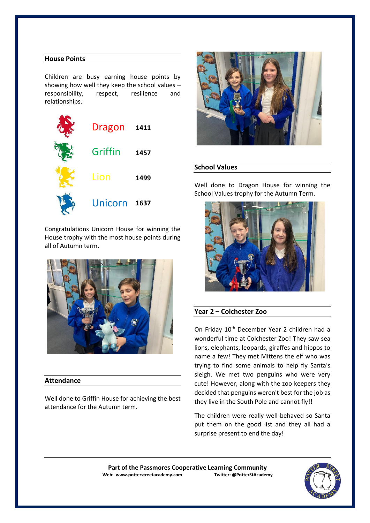### **House Points**

Children are busy earning house points by showing how well they keep the school values – responsibility, respect, resilience and relationships.



Congratulations Unicorn House for winning the House trophy with the most house points during all of Autumn term.



#### **Attendance**

Well done to Griffin House for achieving the best attendance for the Autumn term.



#### **School Values**

Well done to Dragon House for winning the School Values trophy for the Autumn Term.



#### **Year 2 – Colchester Zoo**

On Friday 10th December Year 2 children had a wonderful time at Colchester Zoo! They saw sea lions, elephants, leopards, giraffes and hippos to name a few! They met Mittens the elf who was trying to find some animals to help fly Santa's sleigh. We met two penguins who were very cute! However, along with the zoo keepers they decided that penguins weren't best for the job as they live in the South Pole and cannot fly!!

The children were really well behaved so Santa put them on the good list and they all had a surprise present to end the day!

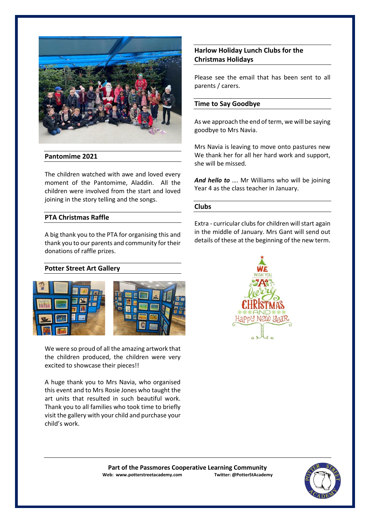

#### **Pantomime 2021**

The children watched with awe and loved every moment of the Pantomime, Aladdin. All the children were involved from the start and loved joining in the story telling and the songs.

#### **PTA Christmas Raffle**

A big thank you to the PTA for organising this and thank you to our parents and community for their donations of raffle prizes.

#### **Potter Street Art Gallery**



We were so proud of all the amazing artwork that the children produced, the children were very excited to showcase their pieces!!

A huge thank you to Mrs Navia, who organised this event and to Mrs Rosie Jones who taught the art units that resulted in such beautiful work. Thank you to all families who took time to briefly visit the gallery with your child and purchase your child's work.

### **Harlow Holiday Lunch Clubs for the Christmas Holidays**

Please see the email that has been sent to all parents / carers.

#### **Time to Say Goodbye**

As we approach the end of term, we will be saying goodbye to Mrs Navia.

Mrs Navia is leaving to move onto pastures new We thank her for all her hard work and support, she will be missed.

*And hello to* …. Mr Williams who will be joining Year 4 as the class teacher in January.

#### **Clubs**

Extra - curricular clubs for children will start again in the middle of January. Mrs Gant will send out details of these at the beginning of the new term.